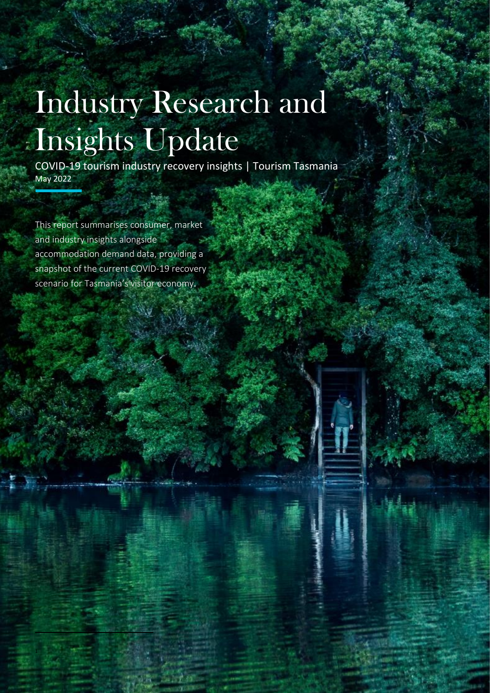# Industry Research and Insights Update

COVID-19 tourism industry recovery insights | Tourism Tasmania May 2022

This report summarises consumer, market and industry insights alongside accommodation demand data, providing a snapshot of the current COVID-19 recovery scenario for Tasmania's visitor economy.

1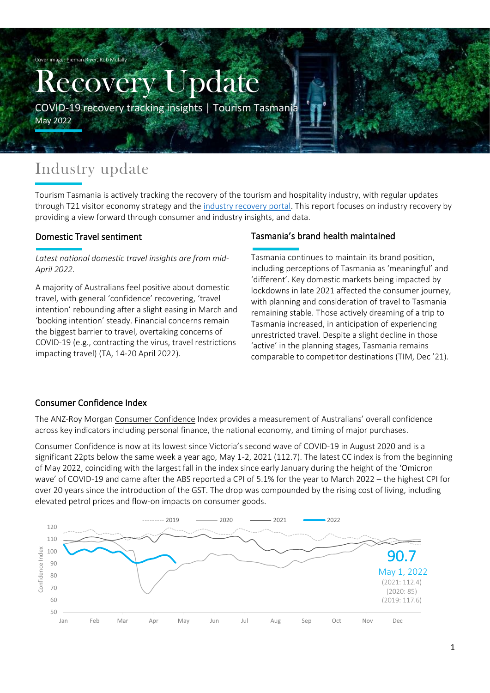Cover image: Pieman River, Rob Mulally

# Recovery Update

COVID-19 recovery tracking insights | Tourism Tasmania

May 2022

# Industry update

Tourism Tasmania is actively tracking the recovery of the tourism and hospitality industry, with regular updates through T21 visitor economy strategy and the [industry recovery portal.](https://tourismtasmania.com.au/news/category/tourism-tasmania/industry-recovery) This report focuses on industry recovery by providing a view forward through consumer and industry insights, and data.

#### Domestic Travel sentiment

#### *Latest national domestic travel insights are from mid-April 2022.*

A majority of Australians feel positive about domestic travel, with general 'confidence' recovering, 'travel intention' rebounding after a slight easing in March and 'booking intention' steady. Financial concerns remain the biggest barrier to travel, overtaking concerns of COVID-19 (e.g., contracting the virus, travel restrictions impacting travel) (TA, 14-20 April 2022).

#### Tasmania's brand health maintained

Tasmania continues to maintain its brand position, including perceptions of Tasmania as 'meaningful' and 'different'. Key domestic markets being impacted by lockdowns in late 2021 affected the consumer journey, with planning and consideration of travel to Tasmania remaining stable. Those actively dreaming of a trip to Tasmania increased, in anticipation of experiencing unrestricted travel. Despite a slight decline in those 'active' in the planning stages, Tasmania remains comparable to competitor destinations (TIM, Dec '21).

#### Consumer Confidence Index

The ANZ-Roy Morga[n Consumer Confidence](http://www.roymorgan.com/morganpoll/consumer-confidence/consumer-weekly-rating) Index provides a measurement of Australians' overall confidence across key indicators including personal finance, the national economy, and timing of major purchases.

Consumer Confidence is now at its lowest since Victoria's second wave of COVID-19 in August 2020 and is a significant 22pts below the same week a year ago, May 1-2, 2021 (112.7). The latest CC index is from the beginning of May 2022, coinciding with the largest fall in the index since early January during the height of the 'Omicron wave' of COVID-19 and came after the ABS reported a CPI of 5.1% for the year to March 2022 – the highest CPI for over 20 years since the introduction of the GST. The drop was compounded by the rising cost of living, including elevated petrol prices and flow-on impacts on consumer goods.

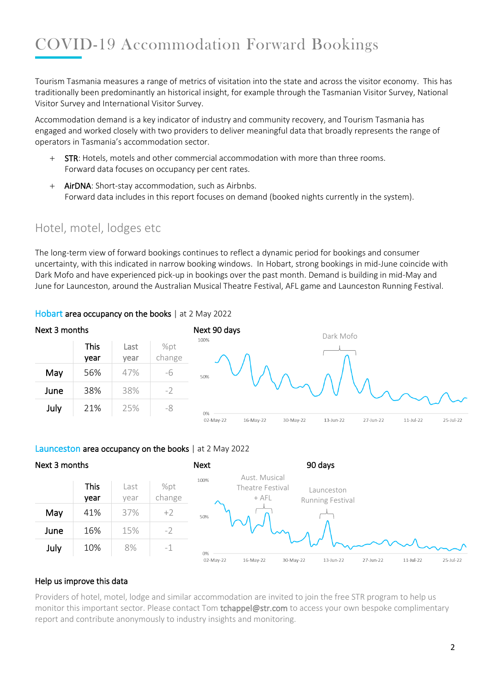# COVID-19 Accommodation Forward Bookings

Tourism Tasmania measures a range of metrics of visitation into the state and across the visitor economy. This has traditionally been predominantly an historical insight, for example through the Tasmanian Visitor Survey, National Visitor Survey and International Visitor Survey.

Accommodation demand is a key indicator of industry and community recovery, and Tourism Tasmania has engaged and worked closely with two providers to deliver meaningful data that broadly represents the range of operators in Tasmania's accommodation sector.

- + STR: Hotels, motels and other commercial accommodation with more than three rooms. Forward data focuses on occupancy per cent rates.
- + AirDNA: Short-stay accommodation, such as Airbnbs. Forward data includes in this report focuses on demand (booked nights currently in the system).

# Hotel, motel, lodges etc

The long-term view of forward bookings continues to reflect a dynamic period for bookings and consumer uncertainty, with this indicated in narrow booking windows. In Hobart, strong bookings in mid-June coincide with Dark Mofo and have experienced pick-up in bookings over the past month. Demand is building in mid-May and June for Launceston, around the Australian Musical Theatre Festival, AFL game and Launceston Running Festival.



#### Hobart area occupancy on the books | at 2 May 2022

#### Launceston area occupancy on the books | at 2 May 2022



#### Help us improve this data

Providers of hotel, motel, lodge and similar accommodation are invited to join the free STR program to help us monitor this important sector. Please contact Tom tchappel@str.com to access your own bespoke complimentary report and contribute anonymously to industry insights and monitoring.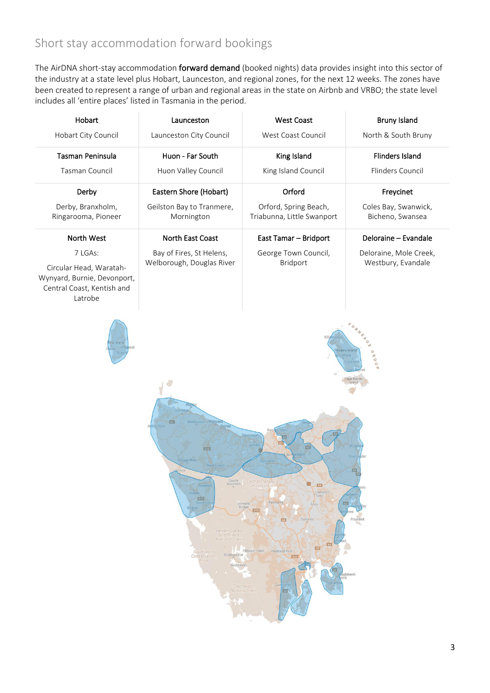# Short stay accommodation forward bookings

The AirDNA short-stay accommodation forward demand (booked nights) data provides insight into this sector of the industry at a state level plus Hobart, Launceston, and regional zones, for the next 12 weeks. The zones have been created to represent a range of urban and regional areas in the state on Airbnb and VRBO; the state level includes all 'entire places' listed in Tasmania in the period.

| Hobart                                                                                                                                                                                                                                                                                                                                                                                                                                                                                                                                     | Launceston                              | <b>West Coast</b>                                   | <b>Bruny Island</b>                      |  |  |  |  |  |  |
|--------------------------------------------------------------------------------------------------------------------------------------------------------------------------------------------------------------------------------------------------------------------------------------------------------------------------------------------------------------------------------------------------------------------------------------------------------------------------------------------------------------------------------------------|-----------------------------------------|-----------------------------------------------------|------------------------------------------|--|--|--|--|--|--|
| Hobart City Council                                                                                                                                                                                                                                                                                                                                                                                                                                                                                                                        | Launceston City Council                 | West Coast Council                                  | North & South Bruny                      |  |  |  |  |  |  |
| Tasman Peninsula                                                                                                                                                                                                                                                                                                                                                                                                                                                                                                                           | Huon - Far South                        | King Island                                         | <b>Flinders Island</b>                   |  |  |  |  |  |  |
| Tasman Council                                                                                                                                                                                                                                                                                                                                                                                                                                                                                                                             | Huon Valley Council                     | King Island Council                                 | Flinders Council                         |  |  |  |  |  |  |
| Derby                                                                                                                                                                                                                                                                                                                                                                                                                                                                                                                                      | Eastern Shore (Hobart)                  | Orford                                              | Freycinet                                |  |  |  |  |  |  |
| Derby, Branxholm,<br>Ringarooma, Pioneer                                                                                                                                                                                                                                                                                                                                                                                                                                                                                                   | Geilston Bay to Tranmere,<br>Mornington | Orford, Spring Beach,<br>Triabunna, Little Swanport | Coles Bay, Swanwick,<br>Bicheno, Swansea |  |  |  |  |  |  |
| North West                                                                                                                                                                                                                                                                                                                                                                                                                                                                                                                                 | North East Coast                        | East Tamar - Bridport                               | Deloraine - Evandale                     |  |  |  |  |  |  |
| 7 LGAs:                                                                                                                                                                                                                                                                                                                                                                                                                                                                                                                                    | Bay of Fires, St Helens,                | George Town Council,                                | Deloraine, Mole Creek,                   |  |  |  |  |  |  |
| Circular Head, Waratah-<br>Wynyard, Burnie, Devonport,<br>Central Coast, Kentish and<br>Latrobe                                                                                                                                                                                                                                                                                                                                                                                                                                            | Welborough, Douglas River               | Bridport                                            | Westbury, Evandale                       |  |  |  |  |  |  |
| nders Islan<br>ROU<br>A18<br>estor<br>Mountain<br><b>AT</b><br>Roseben<br>Conservation<br>Area<br>Campbell<br>Town<br>Zeehan<br><b>AD</b><br>Tasmania<br>Queen<br>Derwent<br>四<br>Ross<br>Strahan<br>Bridge<br>210<br>Freycinet<br>IA5.<br><b>Oatlands</b><br>Franklin-Gordon<br><b>Wild Rivers</b><br><b>National Park</b><br>A3<br>$\sqrt{3}$<br>Mount Field<br>National Park<br>Southwest<br>Strathgordon<br>Conservation<br>$\Lambda$ 10<br>Area<br>Southwest<br>$-$<br>ehawk<br>Ge<br>Southwest<br><b>National Park</b><br><b>AGI</b> |                                         |                                                     |                                          |  |  |  |  |  |  |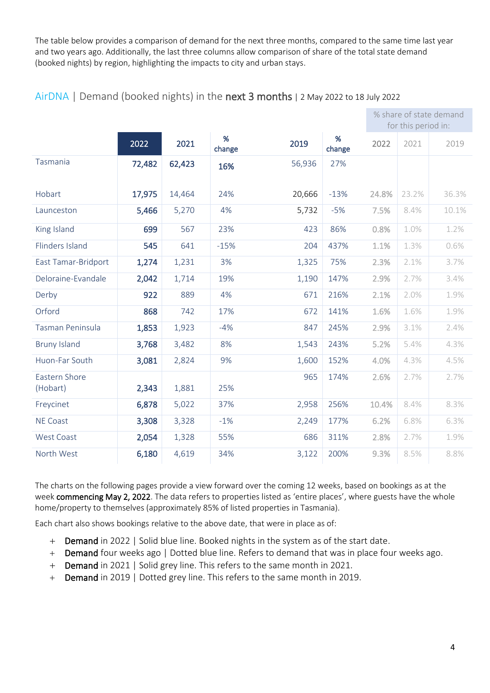The table below provides a comparison of demand for the next three months, compared to the same time last year and two years ago. Additionally, the last three columns allow comparison of share of the total state demand (booked nights) by region, highlighting the impacts to city and urban stays.

|                           |        |        |             |        |             | % share of state demand<br>for this period in: |       |       |
|---------------------------|--------|--------|-------------|--------|-------------|------------------------------------------------|-------|-------|
|                           | 2022   | 2021   | %<br>change | 2019   | %<br>change | 2022                                           | 2021  | 2019  |
| Tasmania                  | 72,482 | 62,423 | 16%         | 56,936 | 27%         |                                                |       |       |
| Hobart                    | 17,975 | 14,464 | 24%         | 20,666 | $-13%$      | 24.8%                                          | 23.2% | 36.3% |
| Launceston                | 5,466  | 5,270  | 4%          | 5,732  | $-5%$       | 7.5%                                           | 8.4%  | 10.1% |
| King Island               | 699    | 567    | 23%         | 423    | 86%         | 0.8%                                           | 1.0%  | 1.2%  |
| Flinders Island           | 545    | 641    | $-15%$      | 204    | 437%        | 1.1%                                           | 1.3%  | 0.6%  |
| East Tamar-Bridport       | 1,274  | 1,231  | 3%          | 1,325  | 75%         | 2.3%                                           | 2.1%  | 3.7%  |
| Deloraine-Evandale        | 2,042  | 1,714  | 19%         | 1,190  | 147%        | 2.9%                                           | 2.7%  | 3.4%  |
| Derby                     | 922    | 889    | 4%          | 671    | 216%        | 2.1%                                           | 2.0%  | 1.9%  |
| Orford                    | 868    | 742    | 17%         | 672    | 141%        | 1.6%                                           | 1.6%  | 1.9%  |
| Tasman Peninsula          | 1,853  | 1,923  | $-4%$       | 847    | 245%        | 2.9%                                           | 3.1%  | 2.4%  |
| <b>Bruny Island</b>       | 3,768  | 3,482  | 8%          | 1,543  | 243%        | 5.2%                                           | 5.4%  | 4.3%  |
| Huon-Far South            | 3,081  | 2,824  | 9%          | 1,600  | 152%        | 4.0%                                           | 4.3%  | 4.5%  |
| Eastern Shore<br>(Hobart) | 2,343  | 1,881  | 25%         | 965    | 174%        | 2.6%                                           | 2.7%  | 2.7%  |
| Freycinet                 | 6,878  | 5,022  | 37%         | 2,958  | 256%        | 10.4%                                          | 8.4%  | 8.3%  |
| <b>NE Coast</b>           | 3,308  | 3,328  | $-1%$       | 2,249  | 177%        | 6.2%                                           | 6.8%  | 6.3%  |
| <b>West Coast</b>         | 2,054  | 1,328  | 55%         | 686    | 311%        | 2.8%                                           | 2.7%  | 1.9%  |
| North West                | 6,180  | 4,619  | 34%         | 3,122  | 200%        | 9.3%                                           | 8.5%  | 8.8%  |

#### AirDNA | Demand (booked nights) in the next 3 months | 2 May 2022 to 18 July 2022

The charts on the following pages provide a view forward over the coming 12 weeks, based on bookings as at the week commencing May 2, 2022. The data refers to properties listed as 'entire places', where guests have the whole home/property to themselves (approximately 85% of listed properties in Tasmania).

Each chart also shows bookings relative to the above date, that were in place as of:

- + Demand in 2022 | Solid blue line. Booked nights in the system as of the start date.
- + Demand four weeks ago | Dotted blue line. Refers to demand that was in place four weeks ago.
- + Demand in 2021 | Solid grey line. This refers to the same month in 2021.
- + Demand in 2019 | Dotted grey line. This refers to the same month in 2019.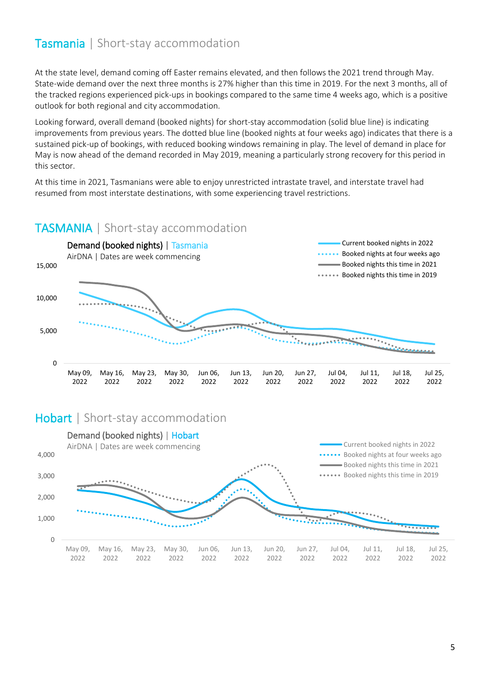At the state level, demand coming off Easter remains elevated, and then follows the 2021 trend through May. State-wide demand over the next three months is 27% higher than this time in 2019. For the next 3 months, all of the tracked regions experienced pick-ups in bookings compared to the same time 4 weeks ago, which is a positive outlook for both regional and city accommodation.

Looking forward, overall demand (booked nights) for short-stay accommodation (solid blue line) is indicating improvements from previous years. The dotted blue line (booked nights at four weeks ago) indicates that there is a sustained pick-up of bookings, with reduced booking windows remaining in play. The level of demand in place for May is now ahead of the demand recorded in May 2019, meaning a particularly strong recovery for this period in this sector.

At this time in 2021, Tasmanians were able to enjoy unrestricted intrastate travel, and interstate travel had resumed from most interstate destinations, with some experiencing travel restrictions.

#### TASMANIA | Short-stay accommodation



### Hobart | Short-stay accommodation

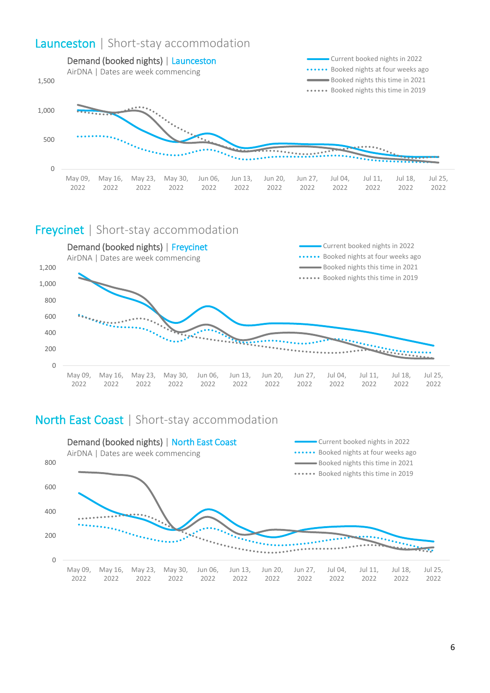# Launceston | Short-stay accommodation



#### Freycinet | Short-stay accommodation



# North East Coast | Short-stay accommodation

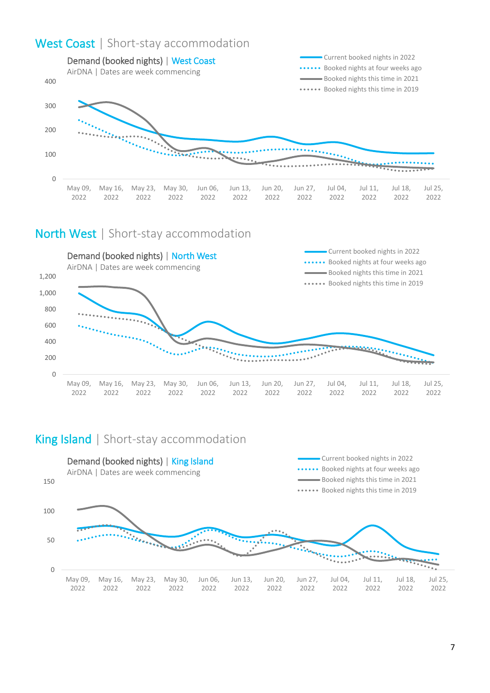# West Coast | Short-stay accommodation



## North West | Short-stay accommodation



# King Island | Short-stay accommodation

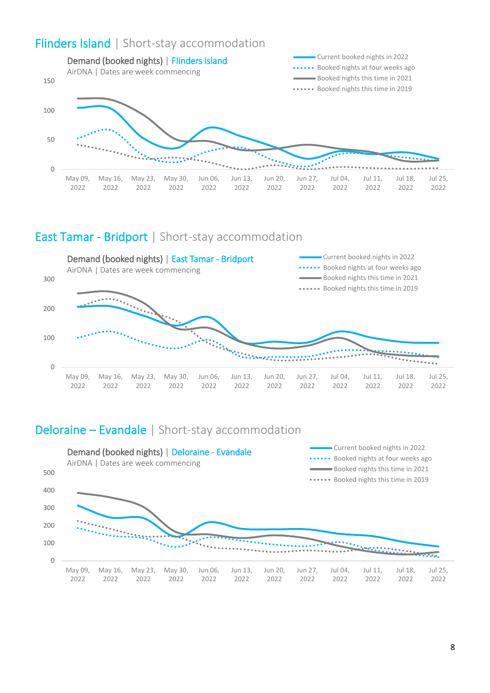# Flinders Island | Short-stay accommodation



## East Tamar - Bridport | Short-stay accommodation



# Deloraine – Evandale | Short-stay accommodation

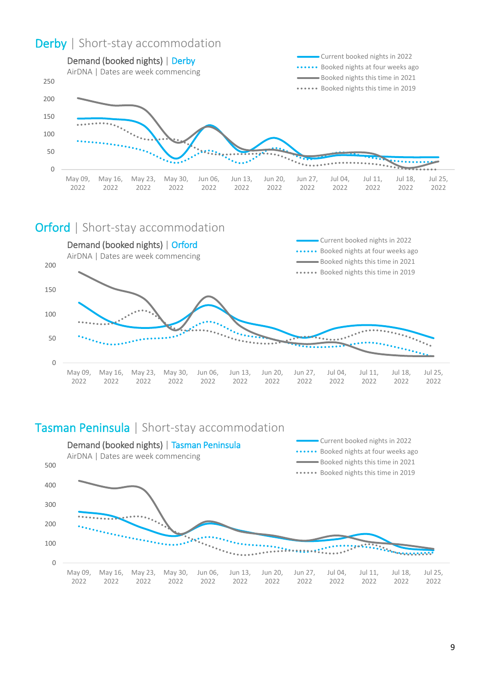# Derby | Short-stay accommodation



#### Orford | Short-stay accommodation



# Tasman Peninsula | Short-stay accommodation